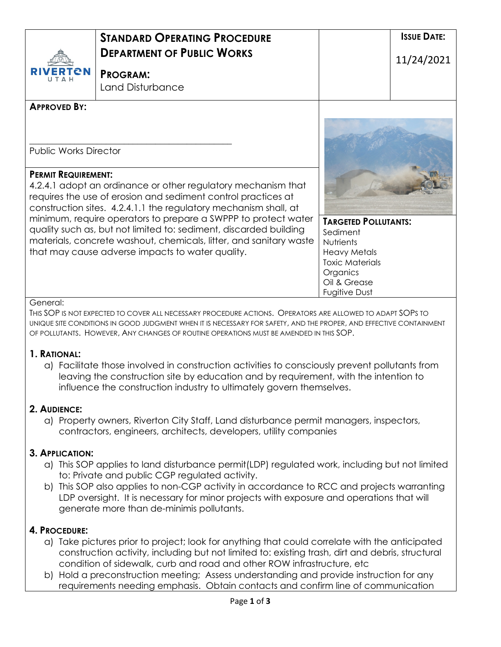|                                                                                                                                                                                                                                  | <b><i>STANDARD OPERATING PROCEDURE</i></b><br><b>DEPARTMENT OF PUBLIC WORKS</b> |                              | <b>ISSUE DATE:</b><br>11/24/2021 |
|----------------------------------------------------------------------------------------------------------------------------------------------------------------------------------------------------------------------------------|---------------------------------------------------------------------------------|------------------------------|----------------------------------|
| <b>RIVERTON</b><br>Н ∆ Т                                                                                                                                                                                                         | <b>PROGRAM:</b><br>Land Disturbance                                             |                              |                                  |
| <b>APPROVED BY:</b>                                                                                                                                                                                                              |                                                                                 |                              |                                  |
| <b>Public Works Director</b>                                                                                                                                                                                                     |                                                                                 |                              |                                  |
| <b>PERMIT REQUIREMENT:</b><br>4.2.4.1 adopt an ordinance or other regulatory mechanism that<br>requires the use of erosion and sediment control practices at<br>construction sites. 4.2.4.1.1 the regulatory mechanism shall, at |                                                                                 |                              |                                  |
|                                                                                                                                                                                                                                  | minimum, require operators to prepare a SWPPP to protect water                  | <b>TARGETED POLLUTANTS:</b>  |                                  |
| quality such as, but not limited to: sediment, discarded building<br>materials, concrete washout, chemicals, litter, and sanitary waste                                                                                          |                                                                                 | Sediment<br><b>Nutrients</b> |                                  |
| that may cause adverse impacts to water quality.                                                                                                                                                                                 |                                                                                 | <b>Heavy Metals</b>          |                                  |
|                                                                                                                                                                                                                                  |                                                                                 | <b>Toxic Materials</b>       |                                  |
|                                                                                                                                                                                                                                  |                                                                                 | Organics<br>Oil & Grease     |                                  |
|                                                                                                                                                                                                                                  |                                                                                 | Fugitive Dust                |                                  |

#### General:

THIS SOP IS NOT EXPECTED TO COVER ALL NECESSARY PROCEDURE ACTIONS. OPERATORS ARE ALLOWED TO ADAPT SOPS TO UNIQUE SITE CONDITIONS IN GOOD JUDGMENT WHEN IT IS NECESSARY FOR SAFETY, AND THE PROPER, AND EFFECTIVE CONTAINMENT OF POLLUTANTS. HOWEVER, ANY CHANGES OF ROUTINE OPERATIONS MUST BE AMENDED IN THIS SOP.

#### **1. RATIONAL:**

a) Facilitate those involved in construction activities to consciously prevent pollutants from leaving the construction site by education and by requirement, with the intention to influence the construction industry to ultimately govern themselves.

## **2. AUDIENCE:**

a) Property owners, Riverton City Staff, Land disturbance permit managers, inspectors, contractors, engineers, architects, developers, utility companies

## **3. APPLICATION:**

- a) This SOP applies to land disturbance permit(LDP) regulated work, including but not limited to: Private and public CGP regulated activity.
- b) This SOP also applies to non-CGP activity in accordance to RCC and projects warranting LDP oversight. It is necessary for minor projects with exposure and operations that will generate more than de-minimis pollutants.

## **4. PROCEDURE:**

- a) Take pictures prior to project; look for anything that could correlate with the anticipated construction activity, including but not limited to: existing trash, dirt and debris, structural condition of sidewalk, curb and road and other ROW infrastructure, etc
- b) Hold a preconstruction meeting; Assess understanding and provide instruction for any requirements needing emphasis. Obtain contacts and confirm line of communication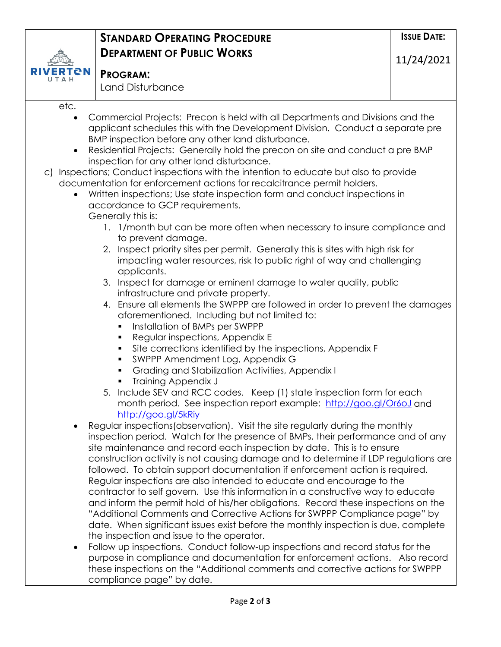|                                                                                                                                                                        | <b>STANDARD OPERATING PROCEDURE</b>                                                                                                                              |  | <b>ISSUE DATE:</b> |  |  |
|------------------------------------------------------------------------------------------------------------------------------------------------------------------------|------------------------------------------------------------------------------------------------------------------------------------------------------------------|--|--------------------|--|--|
|                                                                                                                                                                        | <b>DEPARTMENT OF PUBLIC WORKS</b>                                                                                                                                |  | 11/24/2021         |  |  |
| eм                                                                                                                                                                     | <b>PROGRAM:</b>                                                                                                                                                  |  |                    |  |  |
|                                                                                                                                                                        | Land Disturbance                                                                                                                                                 |  |                    |  |  |
| etc.                                                                                                                                                                   |                                                                                                                                                                  |  |                    |  |  |
| $\bullet$                                                                                                                                                              | Commercial Projects: Precon is held with all Departments and Divisions and the<br>applicant schedules this with the Development Division. Conduct a separate pre |  |                    |  |  |
|                                                                                                                                                                        | BMP inspection before any other land disturbance.                                                                                                                |  |                    |  |  |
| $\bullet$                                                                                                                                                              | Residential Projects: Generally hold the precon on site and conduct a pre BMP                                                                                    |  |                    |  |  |
|                                                                                                                                                                        | inspection for any other land disturbance.                                                                                                                       |  |                    |  |  |
| c) Inspections; Conduct inspections with the intention to educate but also to provide                                                                                  |                                                                                                                                                                  |  |                    |  |  |
| documentation for enforcement actions for recalcitrance permit holders.                                                                                                |                                                                                                                                                                  |  |                    |  |  |
| Written inspections; Use state inspection form and conduct inspections in<br>accordance to GCP requirements.                                                           |                                                                                                                                                                  |  |                    |  |  |
|                                                                                                                                                                        | Generally this is:                                                                                                                                               |  |                    |  |  |
| 1. 1/month but can be more often when necessary to insure compliance and                                                                                               |                                                                                                                                                                  |  |                    |  |  |
| to prevent damage.                                                                                                                                                     |                                                                                                                                                                  |  |                    |  |  |
| 2. Inspect priority sites per permit. Generally this is sites with high risk for                                                                                       |                                                                                                                                                                  |  |                    |  |  |
| impacting water resources, risk to public right of way and challenging                                                                                                 |                                                                                                                                                                  |  |                    |  |  |
| applicants.<br>3. Inspect for damage or eminent damage to water quality, public                                                                                        |                                                                                                                                                                  |  |                    |  |  |
| infrastructure and private property.                                                                                                                                   |                                                                                                                                                                  |  |                    |  |  |
| 4. Ensure all elements the SWPPP are followed in order to prevent the damages                                                                                          |                                                                                                                                                                  |  |                    |  |  |
|                                                                                                                                                                        | aforementioned. Including but not limited to:                                                                                                                    |  |                    |  |  |
|                                                                                                                                                                        | Installation of BMPs per SWPPP<br>٠                                                                                                                              |  |                    |  |  |
|                                                                                                                                                                        | Regular inspections, Appendix E<br>٠                                                                                                                             |  |                    |  |  |
|                                                                                                                                                                        | Site corrections identified by the inspections, Appendix F<br>٠<br>SWPPP Amendment Log, Appendix G<br>٠                                                          |  |                    |  |  |
|                                                                                                                                                                        | Grading and Stabilization Activities, Appendix I                                                                                                                 |  |                    |  |  |
|                                                                                                                                                                        | <b>Training Appendix J</b>                                                                                                                                       |  |                    |  |  |
|                                                                                                                                                                        | 5. Include SEV and RCC codes. Keep (1) state inspection form for each                                                                                            |  |                    |  |  |
|                                                                                                                                                                        | month period. See inspection report example: http://goo.gl/Or6oJ and                                                                                             |  |                    |  |  |
|                                                                                                                                                                        | http://goo.gl/5kRiy<br>Regular inspections (observation). Visit the site regularly during the monthly                                                            |  |                    |  |  |
|                                                                                                                                                                        | inspection period. Watch for the presence of BMPs, their performance and of any                                                                                  |  |                    |  |  |
|                                                                                                                                                                        | site maintenance and record each inspection by date. This is to ensure                                                                                           |  |                    |  |  |
|                                                                                                                                                                        | construction activity is not causing damage and to determine if LDP regulations are                                                                              |  |                    |  |  |
|                                                                                                                                                                        | followed. To obtain support documentation if enforcement action is required.                                                                                     |  |                    |  |  |
|                                                                                                                                                                        | Regular inspections are also intended to educate and encourage to the                                                                                            |  |                    |  |  |
| contractor to self govern. Use this information in a constructive way to educate<br>and inform the permit hold of his/her obligations. Record these inspections on the |                                                                                                                                                                  |  |                    |  |  |
| "Additional Comments and Corrective Actions for SWPPP Compliance page" by                                                                                              |                                                                                                                                                                  |  |                    |  |  |
| date. When significant issues exist before the monthly inspection is due, complete                                                                                     |                                                                                                                                                                  |  |                    |  |  |
|                                                                                                                                                                        | the inspection and issue to the operator.                                                                                                                        |  |                    |  |  |
| ٠                                                                                                                                                                      | Follow up inspections. Conduct follow-up inspections and record status for the                                                                                   |  |                    |  |  |
|                                                                                                                                                                        | purpose in compliance and documentation for enforcement actions. Also record                                                                                     |  |                    |  |  |
|                                                                                                                                                                        | these inspections on the "Additional comments and corrective actions for SWPPP<br>compliance page" by date.                                                      |  |                    |  |  |